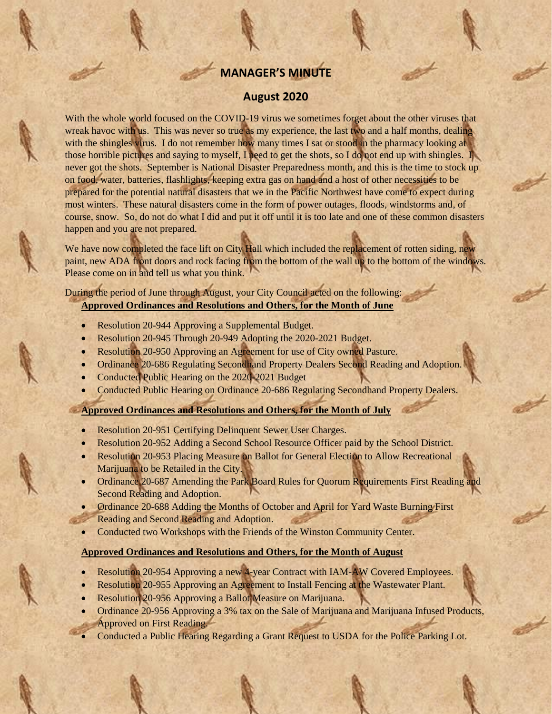# **MANAGER'S MINUTE**

### **August 2020**

With the whole world focused on the COVID-19 virus we sometimes forget about the other viruses that wreak havoc with us. This was never so true as my experience, the last two and a half months, dealing with the shingles virus. I do not remember how many times I sat or stood in the pharmacy looking at those horrible pictures and saying to myself, I need to get the shots, so I do not end up with shingles. I never got the shots. September is National Disaster Preparedness month, and this is the time to stock up on food, water, batteries, flashlights, keeping extra gas on hand and a host of other necessities to be prepared for the potential natural disasters that we in the Pacific Northwest have come to expect during most winters. These natural disasters come in the form of power outages, floods, windstorms and, of course, snow. So, do not do what I did and put it off until it is too late and one of these common disasters happen and you are not prepared.

We have now completed the face lift on City Hall which included the replacement of rotten siding, new paint, new ADA front doors and rock facing from the bottom of the wall up to the bottom of the windows. Please come on in and tell us what you think.

### During the period of June through August, your City Council acted on the following: **Approved Ordinances and Resolutions and Others, for the Month of June**

- Resolution 20-944 Approving a Supplemental Budget.
- Resolution 20-945 Through 20-949 Adopting the 2020-2021 Budget.
- Resolution 20-950 Approving an Agreement for use of City owned Pasture.
- Ordinance 20-686 Regulating Secondhand Property Dealers Second Reading and Adoption.
- Conducted Public Hearing on the 2020-2021 Budget
- Conducted Public Hearing on Ordinance 20-686 Regulating Secondhand Property Dealers.

#### **Approved Ordinances and Resolutions and Others, for the Month of July**

- Resolution 20-951 Certifying Delinquent Sewer User Charges.
- Resolution 20-952 Adding a Second School Resource Officer paid by the School District.
- Resolution 20-953 Placing Measure on Ballot for General Election to Allow Recreational Marijuana to be Retailed in the City.
- Ordinance 20-687 Amending the Park Board Rules for Quorum Requirements First Reading and Second Reading and Adoption.
- Ordinance 20-688 Adding the Months of October and April for Yard Waste Burning First Reading and Second Reading and Adoption.
- Conducted two Workshops with the Friends of the Winston Community Center.

#### **Approved Ordinances and Resolutions and Others, for the Month of August**

- Resolution 20-954 Approving a new 4-year Contract with IAM-AW Covered Employees.
- Resolution 20-955 Approving an Agreement to Install Fencing at the Wastewater Plant.
- Resolution 20-956 Approving a Ballot Measure on Marijuana.
- Ordinance 20-956 Approving a 3% tax on the Sale of Marijuana and Marijuana Infused Products, Approved on First Reading.
- Conducted a Public Hearing Regarding a Grant Request to USDA for the Police Parking Lot.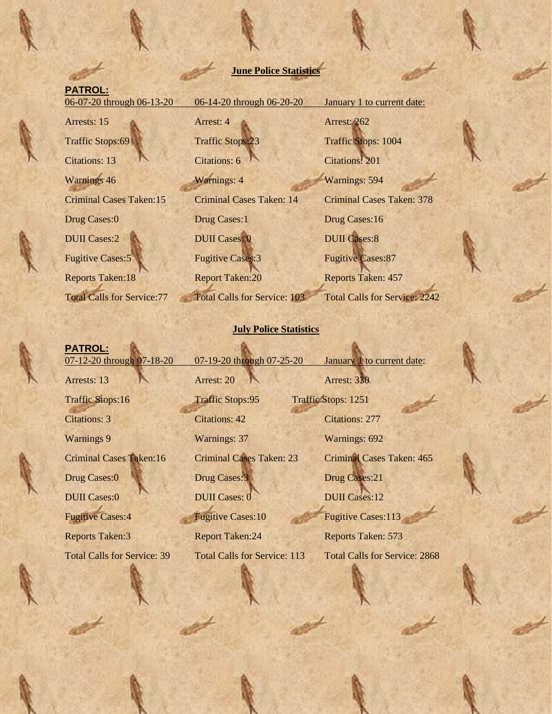## **June Police Statistics**

## **PATROL:**

06-07-20 through 06-13-20 06-14-20 through 06-20-20 January 1 to current date:

**PATROL:**

Arrests: 15 Arrest: 4 Arrest: 262 Traffic Stops:69 Traffic Stops:23 Traffic Stops: 1004 Citations: 13 Citations: 6 Citations: 201 Warnings 46 Warnings: 4 Warnings: 4 Warnings: 594 Drug Cases:0 Drug Cases:1 Drug Cases:16 DUII Cases: 2 DUII Cases: 0 DUII Cases: 0 DUII Cases: 8 Fugitive Cases:5 Fugitive Cases:3 Fugitive Cases:87 Reports Taken:18 Report Taken:20 Reports Taken: 457

Criminal Cases Taken:15 Criminal Cases Taken: 14 Criminal Cases Taken: 378 Total Calls for Service:77 Total Calls for Service: 103 Total Calls for Service: 2242

### **July Police Statistics**

07-12-20 through 07-18-20 07-19-20 through 07-25-20 January 1 to current date: Arrests: 13 **Arrest: 20 Arrest: 20 Arrest: 330** Traffic Stops:16 Traffic Stops:95 Traffic Stops: 1251 Citations: 3 Citations: 42 Citations: 277 Warnings 9 Warnings: 37 Warnings: 692 Criminal Cases Taken:16 Criminal Cases Taken: 23 Criminal Cases Taken: 465 Drug Cases:0 Drug Cases:3 Drug Cases:21 DUII Cases: 0 DUII Cases: 0 DUII Cases: 0 DUII Cases: 12 Fugitive Cases:4 Fugitive Cases:10 Fugitive Cases:113 Reports Taken: 3 Report Taken: 24 Reports Taken: 573 Total Calls for Service: 39 Total Calls for Service: 113 Total Calls for Service: 2868